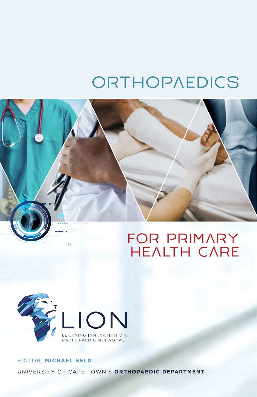# ORTHOPAEDICS





### EDITOR: MICHAEL HELD UNIVERSITY OF CAPE TOWN'S ORTHOPAEDIC DEPARTMENT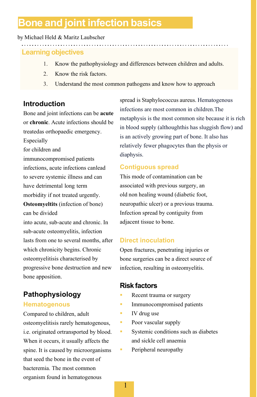# **Bone and joint infection basics**

#### by Michael Held & Maritz Laubscher

#### **Learning objectives**

- 1. Know the pathophysiology and differences between children and adults.
- 2. Know the risk factors.

<u>. . . . . . . . . . . . . . . . .</u>

3. Understand the most common pathogens and know how to approach

#### **Introduction**

Bone and joint infections can be **acute**  or **chronic**. Acute infections should be treatedas orthopaedic emergency.

Especially

for children and

immunocompromised patients infections, acute infections canlead to severe systemic illness and can have detrimental long term morbidity if not treated urgently.

**Osteomyeltits** (infection of bone) can be divided

into acute, sub-acute and chronic. In sub-acute osteomyelitis, infection lasts from one to several months, after which chronicity begins. Chronic osteomyelitisis characterised by progressive bone destruction and new bone apposition.

# **Pathophysiology**

#### **Hematogenous**

Compared to children, adult osteomyelitisis rarely hematogenous, i.e. originated ortransported by blood. When it occurs, it usually affects the spine. It is caused by microorganisms that seed the bone in the event of bacteremia. The most common organism found in hematogenous

spread is Staphylococcus aureus. Hematogenous infections are most common in children.The metaphysis is the most common site because it is rich in blood supply (althoughthis has sluggish flow) and is an actively growing part of bone. It also has relatively fewer phagocytes than the physis or diaphysis.

#### **Contiguous spread**

This mode of contamination can be associated with previous surgery, an old non healing wound (diabetic foot, neuropathic ulcer) or a previous trauma. Infection spread by contiguity from adjacent tissue to bone.

#### **Direct inoculation**

Open fractures, penetrating injuries or bone surgeries can be a direct source of infection, resulting in osteomyelitis.

#### **Risk factors**

- Recent trauma or surgery
- **Immunocompromised patients**
- IV drug use
- **Poor vascular supply**
- **Systemic conditions such as diabetes** and sickle cell anaemia
	- Peripheral neuropathy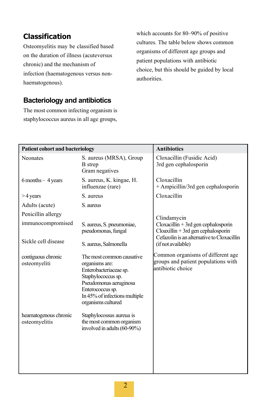## **Classification**

Osteomyelitis may be classified based on the duration of illness (acuteversus chronic) and the mechanism of infection (haematogenous versus nonhaematogenous).

which accounts for 80–90% of positive cultures. The table below shows common organisms of different age groups and patient populations with antibiotic choice, but this should be guided by local authorities.

#### **Bacteriology and antibiotics**

The most common infecting organism is staphylococcus aureus in all age groups,

| <b>Patient cohort and bacteriology</b>  |                                                                                                                                                                                                  | <b>Antibiotics</b>                                                                                        |
|-----------------------------------------|--------------------------------------------------------------------------------------------------------------------------------------------------------------------------------------------------|-----------------------------------------------------------------------------------------------------------|
| <b>Neonates</b>                         | S. aureus (MRSA), Group<br><b>B</b> strep<br>Gram negatives                                                                                                                                      | Cloxacillin (Fusidic Acid)<br>3rd gen cephalosporin                                                       |
| $6$ months $-4$ years                   | S. aureus, K. kingae, H.<br>influenzae (rare)                                                                                                                                                    | Cloxacillin<br>+ Ampicillin/3rd gen cephalosporin                                                         |
| $>4$ years                              | S. aureus                                                                                                                                                                                        | Cloxacillin                                                                                               |
| Adults (acute)                          | S. aureus                                                                                                                                                                                        |                                                                                                           |
| Penicillin allergy<br>immunocompromised | S. aureus, S. pneumoniae,                                                                                                                                                                        | Clindamycin<br>$C$ loxacillin + 3rd gen cephalosporin                                                     |
| Sickle cell disease                     | pseudomonas, fungal<br>S. aureus, Salmonella                                                                                                                                                     | $C$ loaxillin + 3rd gen cephalosporin<br>Cefazolin is an alternative to Cloxacillin<br>(if not available) |
| contiguous chronic<br>osteomyeliti      | The most common causative<br>organisms are:<br>Enterobacteriaceae sp.<br>Staphylococcus sp.<br>Pseudomonas aeruginosa<br>Enterococcus sp.<br>In 45% of infections multiple<br>organisms cultured | Common organisms of different age<br>groups and patient populations with<br>antibiotic choice             |
| heamatogenous chronic<br>osteomyelitis  | Staphylocossus aureua is<br>the most common organism<br>involved in adults (60-90%)                                                                                                              |                                                                                                           |